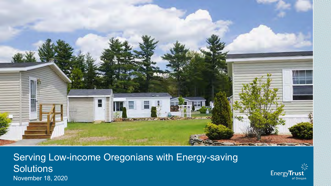

Serving Low-income Oregonians with Energy-saving **Solutions** November 18, 2020

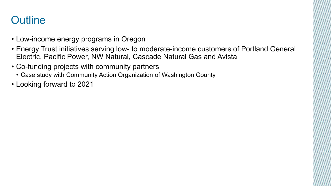#### **Outline**

- Low-income energy programs in Oregon
- Energy Trust initiatives serving low- to moderate-income customers of Portland General Electric, Pacific Power, NW Natural, Cascade Natural Gas and Avista
- Co-funding projects with community partners
	- Case study with Community Action Organization of Washington County
- Looking forward to 2021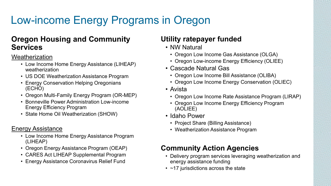# Low-income Energy Programs in Oregon

#### **Oregon Housing and Community Services**

#### **Weatherization**

- Low Income Home Energy Assistance (LIHEAP) weatherization
- US DOE Weatherization Assistance Program
- Energy Conservation Helping Oregonians (ECHO)
- Oregon Multi-Family Energy Program (OR-MEP)
- Bonneville Power Administration Low-income Energy Efficiency Program
- State Home Oil Weatherization (SHOW)

#### Energy Assistance

- Low Income Home Energy Assistance Program (LIHEAP)
- Oregon Energy Assistance Program (OEAP)
- CARES Act LIHEAP Supplemental Program
- Energy Assistance Coronavirus Relief Fund

#### **Utility ratepayer funded**

- NW Natural
	- Oregon Low Income Gas Assistance (OLGA)
	- Oregon Low-income Energy Efficiency (OLIEE)
- Cascade Natural Gas
	- Oregon Low Income Bill Assistance (OLIBA)
	- Oregon Low Income Energy Conservation (OLIEC)
- Avista
	- Oregon Low Income Rate Assistance Program (LIRAP)
	- Oregon Low Income Energy Efficiency Program (AOLIEE)
- Idaho Power
	- Project Share (Billing Assistance)
	- Weatherization Assistance Program

#### **Community Action Agencies**

- Delivery program services leveraging weatherization and energy assistance funding
- $\cdot$  ~17 jurisdictions across the state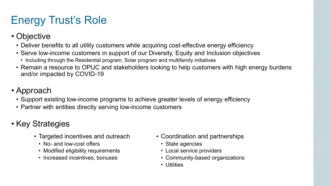# Energy Trust's Role

- Objective
	- Deliver benefits to all utility customers while acquiring cost-effective energy efficiency
	- Serve low-income customers in support of our Diversity, Equity and Inclusion objectives
		- Including through the Residential program, Solar program and multifamily initiatives
	- Remain a resource to OPUC and stakeholders looking to help customers with high energy burdens and/or impacted by COVID-19
- Approach
	- Support existing low-income programs to achieve greater levels of energy efficiency
	- Partner with entities directly serving low-income customers
- Key Strategies
	- Targeted incentives and outreach
		- No- and low-cost offers
		- Modified eligibility requirements
		- Increased incentives, bonuses
- Coordination and partnerships
	- State agencies
	- Local service providers
	- Community-based organizations
	- Utilities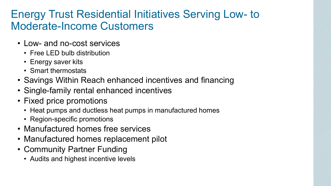#### Energy Trust Residential Initiatives Serving Low- to Moderate-Income Customers

- Low- and no-cost services
	- Free LED bulb distribution
	- Energy saver kits
	- Smart thermostats
- Savings Within Reach enhanced incentives and financing
- Single-family rental enhanced incentives
- Fixed price promotions
	- Heat pumps and ductless heat pumps in manufactured homes
	- Region-specific promotions
- Manufactured homes free services
- Manufactured homes replacement pilot
- Community Partner Funding
	- Audits and highest incentive levels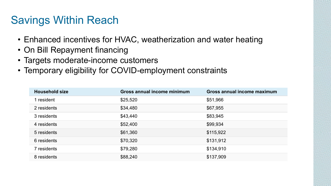### Savings Within Reach

- Enhanced incentives for HVAC, weatherization and water heating
- On Bill Repayment financing
- Targets moderate-income customers
- Temporary eligibility for COVID-employment constraints

| <b>Household size</b> | Gross annual income minimum | Gross annual income maximum |
|-----------------------|-----------------------------|-----------------------------|
| 1 resident            | \$25,520                    | \$51,966                    |
| 2 residents           | \$34,480                    | \$67,955                    |
| 3 residents           | \$43,440                    | \$83,945                    |
| 4 residents           | \$52,400                    | \$99,934                    |
| 5 residents           | \$61,360                    | \$115,922                   |
| 6 residents           | \$70,320                    | \$131,912                   |
| 7 residents           | \$79,280                    | \$134,910                   |
| 8 residents           | \$88,240                    | \$137,909                   |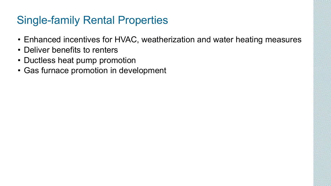## Single-family Rental Properties

- Enhanced incentives for HVAC, weatherization and water heating measures
- Deliver benefits to renters
- Ductless heat pump promotion
- Gas furnace promotion in development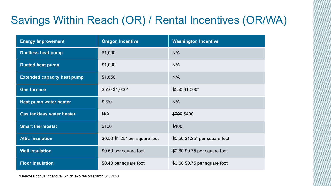# Savings Within Reach (OR) / Rental Incentives (OR/WA)

| <b>Energy Improvement</b>          | <b>Oregon Incentive</b>         | <b>Washington Incentive</b>     |
|------------------------------------|---------------------------------|---------------------------------|
| <b>Ductless heat pump</b>          | \$1,000                         | N/A                             |
| <b>Ducted heat pump</b>            | \$1,000                         | N/A                             |
| <b>Extended capacity heat pump</b> | \$1,650                         | N/A                             |
| <b>Gas furnace</b>                 | \$550 \$1,000*                  | \$550 \$1,000*                  |
| Heat pump water heater             | \$270                           | N/A                             |
| <b>Gas tankless water heater</b>   | N/A                             | \$200 \$400                     |
| <b>Smart thermostat</b>            | \$100                           | \$100                           |
| <b>Attic insulation</b>            | $$0.50$ \$1.25* per square foot | $$0.50$ \$1.25* per square foot |
| <b>Wall insulation</b>             | \$0.50 per square foot          | \$0.60 \$0.75 per square foot   |
| <b>Floor insulation</b>            | \$0.40 per square foot          | \$0.60 \$0.75 per square foot   |

\*Denotes bonus incentive, which expires on March 31, 2021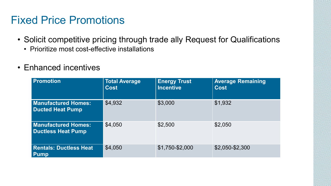#### Fixed Price Promotions

- Solicit competitive pricing through trade ally Request for Qualifications
	- Prioritize most cost-effective installations
- Enhanced incentives

| <b>Promotion</b>                                 | <b>Total Average</b><br><b>Cost</b> | <b>Energy Trust</b><br><b>Incentive</b> | <b>Average Remaining</b><br><b>Cost</b> |
|--------------------------------------------------|-------------------------------------|-----------------------------------------|-----------------------------------------|
| <b>Manufactured Homes:</b><br>Ducted Heat Pump   | \$4,932                             | \$3,000                                 | \$1,932                                 |
| <b>Manufactured Homes:</b><br>Ductless Heat Pump | \$4,050                             | \$2,500                                 | \$2,050                                 |
| <b>Rentals: Ductless Heat</b><br><b>Pump</b>     | \$4,050                             | \$1,750-\$2,000                         | \$2,050-\$2,300                         |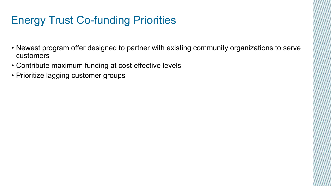## Energy Trust Co-funding Priorities

- Newest program offer designed to partner with existing community organizations to serve customers
- Contribute maximum funding at cost effective levels
- Prioritize lagging customer groups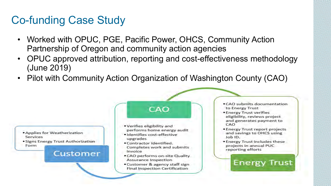#### Co-funding Case Study

- Worked with OPUC, PGE, Pacific Power, OHCS, Community Action Partnership of Oregon and community action agencies
- OPUC approved attribution, reporting and cost-effectiveness methodology (June 2019)
- Pilot with Community Action Organization of Washington County (CAO)



**• Signs Energy Trust Authorization** Form

#### **Customer**

#### CAO

- Verifies eligibility and performs home energy audit
- Identifies cost-effective upgrades
- Contractor identified. Completes work and submits invoice
- . CAO performs on-site Quality Assurance Inspection
- Customer & agency staff sign Final Inspection Certification
- CAO submits documentation to Energy Trust
- Energy Trust verifies eligibility, reviews project and generates payment to CAO
- Energy Trust report projects and savings to OHCS using Job **ID.**
- Energy Trust includes these projects in annual PUC reporting efforts

**Energy Trust**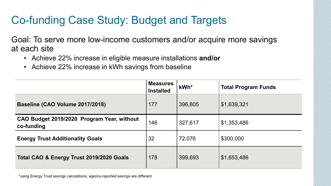## Co-funding Case Study: Budget and Targets

Goal: To serve more low-income customers and/or acquire more savings at each site

- Achieve 22% increase in eligible measure installations **and/or**
- Achieve 22% increase in kWh savings from baseline

|                                                          | <b>Measures</b><br><b>Installed</b> | kWh*    | <b>Total Program Funds</b> |
|----------------------------------------------------------|-------------------------------------|---------|----------------------------|
| Baseline (CAO Volume 2017/2018)                          | 177                                 | 396,805 | \$1,639,321                |
| CAO Budget 2019/2020 Program Year, without<br>co-funding | 146                                 | 327,617 | \$1,353,486                |
| <b>Energy Trust Additionality Goals</b>                  | 32                                  | 72,076  | \$300,000                  |
| Total CAO & Energy Trust 2019/2020 Goals                 | 178                                 | 399,693 | \$1,653,486                |

\*using Energy Trust savings calculations, agency-reported savings are different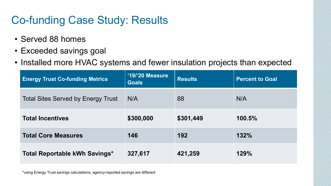## Co-funding Case Study: Results

- Served 88 homes
- **Baseline** • **CAO**  • Exceeded savings goal
- Installed more HVAC systems and fewer insulation projects than expected

| <b>Energy Trust Co-funding Metrics</b>    | '19/'20 Measure<br>Goals | <b>Results</b> | <b>Percent to Goal</b> |
|-------------------------------------------|--------------------------|----------------|------------------------|
| <b>Total Sites Served by Energy Trust</b> | N/A                      | 88             | N/A                    |
| <b>Total Incentives</b>                   | \$300,000                | \$301,449      | 100.5%                 |
| <b>Total Core Measures</b>                | 146                      | 192            | 132%                   |
| Total Reportable kWh Savings*             | 327,617                  | 421,259        | 129%                   |

\*using Energy Trust savings calculations, agency-reported savings are different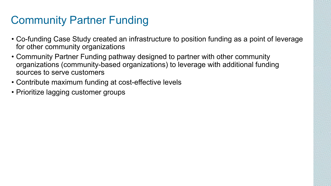## Community Partner Funding

- Co-funding Case Study created an infrastructure to position funding as a point of leverage for other community organizations
- Community Partner Funding pathway designed to partner with other community organizations (community-based organizations) to leverage with additional funding sources to serve customers
- Contribute maximum funding at cost-effective levels
- Prioritize lagging customer groups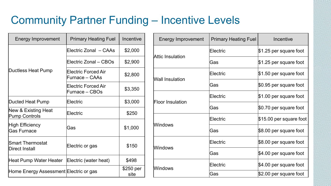## Community Partner Funding – Incentive Levels

| <b>Energy Improvement</b>                    | <b>Primary Heating Fuel</b>                  | Incentive         |
|----------------------------------------------|----------------------------------------------|-------------------|
|                                              | Electric Zonal – CAAs                        | \$2,000           |
|                                              | Electric Zonal - CBOs                        | \$2,900           |
| Ductless Heat Pump                           | <b>Electric Forced Air</b><br>Furnace – CAAs | \$2,800           |
|                                              | <b>Electric Forced Air</b><br>Furnace – CBOs | \$3,350           |
| Ducted Heat Pump                             | Electric                                     | \$3,000           |
| New & Existing Heat<br>Pump Controls         | Electric                                     | \$250             |
| <b>High Efficiency</b><br><b>Gas Furnace</b> | Gas                                          | \$1,000           |
| <b>Smart Thermostat</b><br>Direct Install    | Electric or gas                              | \$150             |
| Heat Pump Water Heater                       | Electric (water heat)                        | \$498             |
| Home Energy Assessment Electric or gas       |                                              | \$250 per<br>site |

| <b>Energy Improvement</b> | <b>Primary Heating Fuel</b> | Incentive               |
|---------------------------|-----------------------------|-------------------------|
| Attic Insulation          | Electric                    | \$1.25 per square foot  |
|                           | Gas                         | \$1.25 per square foot  |
| <b>Wall Insulation</b>    | Electric                    | \$1.50 per square foot  |
|                           | Gas                         | \$0.95 per square foot  |
| <b>Floor Insulation</b>   | Electric                    | \$1.00 per square foot  |
|                           | Gas                         | \$0.70 per square foot  |
| Windows                   | Electric                    | \$15.00 per square foot |
|                           | Gas                         | \$8.00 per square foot  |
| Windows                   | Electric                    | \$8.00 per square foot  |
|                           | Gas                         | \$4.00 per square foot  |
| Windows                   | Electric                    | \$4.00 per square foot  |
|                           | Gas                         | \$2.00 per square foot  |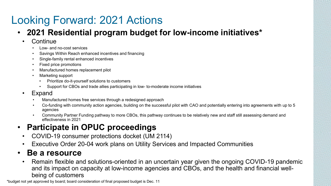# Looking Forward: 2021 Actions

- **2021 Residential program budget for low-income initiatives\***
	- **Continue** 
		- Low- and no-cost services
		- Savings Within Reach enhanced incentives and financing
		- Single-family rental enhanced incentives
		- Fixed price promotions
		- Manufactured homes replacement pilot
		- Marketing support
			- Prioritize do-it-yourself solutions to customers
			- Support for CBOs and trade allies participating in low- to-moderate income initiatives
	- **Expand** 
		- Manufactured homes free services through a redesigned approach
		- Co-funding with community action agencies, building on the successful pilot with CAO and potentially entering into agreements with up to 5 agencies
		- Community Partner Funding pathway to more CBOs, this pathway continues to be relatively new and staff still assessing demand and effectiveness in 2021

#### • **Participate in OPUC proceedings**

- COVID-19 consumer protections docket (UM 2114)
- Executive Order 20-04 work plans on Utility Services and Impacted Communities

#### • **Be a resource**

• Remain flexible and solutions-oriented in an uncertain year given the ongoing COVID-19 pandemic and its impact on capacity at low-income agencies and CBOs, and the health and financial wellbeing of customers

\*budget not yet approved by board; board consideration of final proposed budget is Dec. 11